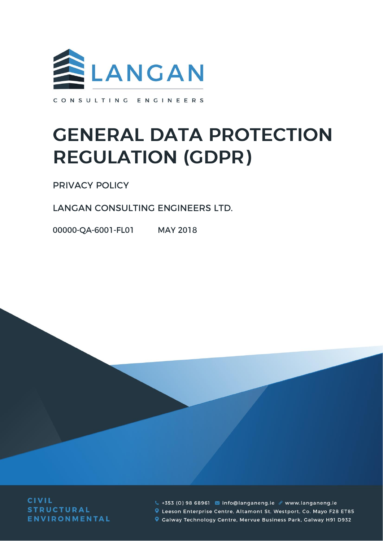

CONSULTING ENGINEERS

# **GENERAL DATA PROTECTION REGULATION (GDPR)**

**PRIVACY POLICY** 

LANGAN CONSULTING ENGINEERS LTD.

00000-QA-6001-FL01 MAY 2018

**CIVIL STRUCTURAL ENVIRONMENTAL** 

4 +353 (0) 98 68961 ainfo@langaneng.ie & www.langaneng.ie Leeson Enterprise Centre, Altamont St, Westport, Co. Mayo F28 ET85 Calway Technology Centre, Mervue Business Park, Galway H91 D932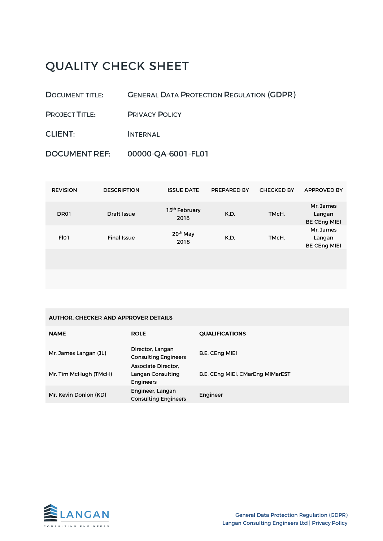# **QUALITY CHECK SHEET**

- **DOCUMENT TITLE: GENERAL DATA PROTECTION REGULATION (GDPR)**
- **PROJECT TITLE: PRIVACY POLICY**
- **CLIENT: INTERNAL**
- 00000-QA-6001-FL01 **DOCUMENT REF:**

| <b>REVISION</b> | <b>DESCRIPTION</b> | <b>ISSUE DATE</b>                 | PREPARED BY | <b>CHECKED BY</b> | <b>APPROVED BY</b>                         |
|-----------------|--------------------|-----------------------------------|-------------|-------------------|--------------------------------------------|
| DR01            | Draft Issue        | 15 <sup>th</sup> February<br>2018 | K.D.        | TMcH.             | Mr. James<br>Langan<br><b>BE CEng MIEI</b> |
| FI01            | <b>Final Issue</b> | 20 <sup>th</sup> May<br>2018      | K.D.        | TMcH.             | Mr. James<br>Langan<br><b>BE CEng MIEI</b> |
|                 |                    |                                   |             |                   |                                            |
|                 |                    |                                   |             |                   |                                            |

| <b>AUTHOR. CHECKER AND APPROVER DETAILS</b> |                                                                               |                                  |  |  |  |  |  |
|---------------------------------------------|-------------------------------------------------------------------------------|----------------------------------|--|--|--|--|--|
| <b>NAME</b>                                 | <b>ROLE</b>                                                                   | <b>QUALIFICATIONS</b>            |  |  |  |  |  |
| Mr. James Langan (JL)                       | Director, Langan<br><b>Consulting Engineers</b><br><b>Associate Director.</b> | <b>B.E. CEng MIEI</b>            |  |  |  |  |  |
| Mr. Tim McHugh (TMcH)                       | Langan Consulting<br><b>Engineers</b>                                         | B.E. CEng MIEI, CMarEng MIMarEST |  |  |  |  |  |
| Mr. Kevin Donlon (KD)                       | Engineer, Langan<br><b>Consulting Engineers</b>                               | Engineer                         |  |  |  |  |  |

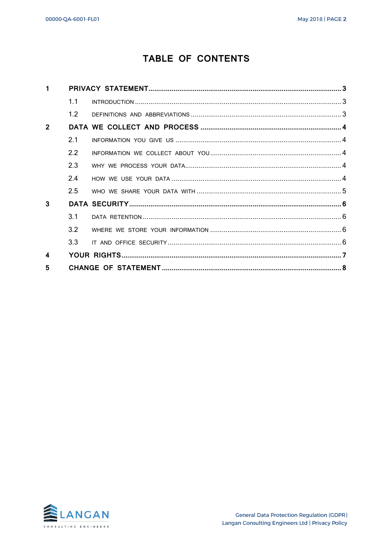# TABLE OF CONTENTS

| $\mathbf{1}$   |     |  |
|----------------|-----|--|
|                | 1.1 |  |
|                | 1.2 |  |
| $\overline{2}$ |     |  |
|                | 2.1 |  |
|                | 2.2 |  |
|                | 2.3 |  |
|                | 2.4 |  |
|                | 2.5 |  |
| 3              |     |  |
|                | 3.1 |  |
|                | 3.2 |  |
|                | 3.3 |  |
| 4              |     |  |
| 5              |     |  |

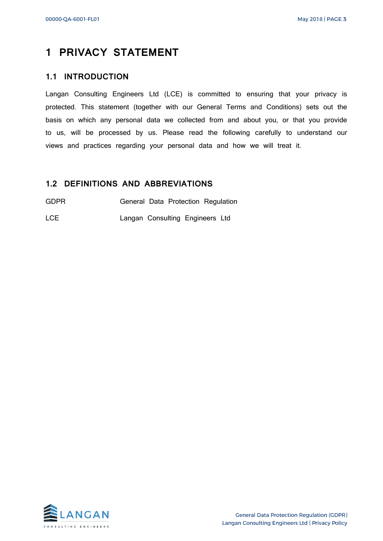# <span id="page-3-0"></span>**1 PRIVACY STATEMENT**

#### <span id="page-3-1"></span>**1.1 INTRODUCTION**

Langan Consulting Engineers Ltd (LCE) is committed to ensuring that your privacy is protected. This statement (together with our General Terms and Conditions) sets out the basis on which any personal data we collected from and about you, or that you provide to us, will be processed by us. Please read the following carefully to understand our views and practices regarding your personal data and how we will treat it.

#### <span id="page-3-2"></span>**1.2 DEFINITIONS AND ABBREVIATIONS**

GDPR **General Data Protection Regulation** 

LCE Langan Consulting Engineers Ltd

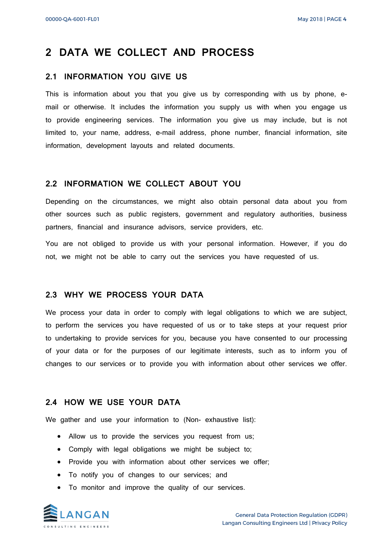### <span id="page-4-0"></span>**2 DATA WE COLLECT AND PROCESS**

#### <span id="page-4-1"></span>**2.1 INFORMATION YOU GIVE US**

This is information about you that you give us by corresponding with us by phone, email or otherwise. It includes the information you supply us with when you engage us to provide engineering services. The information you give us may include, but is not limited to, your name, address, e-mail address, phone number, financial information, site information, development layouts and related documents.

#### <span id="page-4-2"></span>**2.2 INFORMATION WE COLLECT ABOUT YOU**

Depending on the circumstances, we might also obtain personal data about you from other sources such as public registers, government and regulatory authorities, business partners, financial and insurance advisors, service providers, etc.

You are not obliged to provide us with your personal information. However, if you do not, we might not be able to carry out the services you have requested of us.

#### <span id="page-4-3"></span>**2.3 WHY WE PROCESS YOUR DATA**

We process your data in order to comply with legal obligations to which we are subject, to perform the services you have requested of us or to take steps at your request prior to undertaking to provide services for you, because you have consented to our processing of your data or for the purposes of our legitimate interests, such as to inform you of changes to our services or to provide you with information about other services we offer.

#### <span id="page-4-4"></span>**2.4 HOW WE USE YOUR DATA**

We gather and use your information to (Non- exhaustive list):

- Allow us to provide the services you request from us;
- Comply with legal obligations we might be subject to;
- Provide you with information about other services we offer;
- To notify you of changes to our services; and
- To monitor and improve the quality of our services.

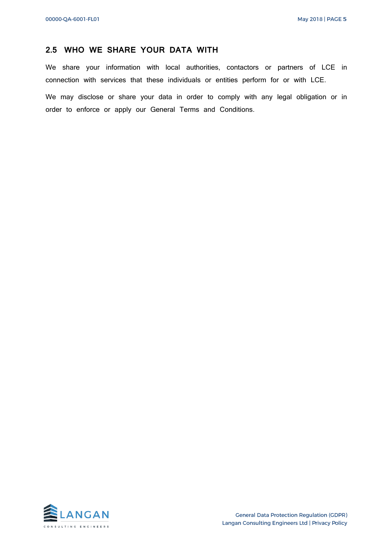#### <span id="page-5-0"></span>**2.5 WHO WE SHARE YOUR DATA WITH**

We share your information with local authorities, contactors or partners of LCE in connection with services that these individuals or entities perform for or with LCE. We may disclose or share your data in order to comply with any legal obligation or in order to enforce or apply our General Terms and Conditions.

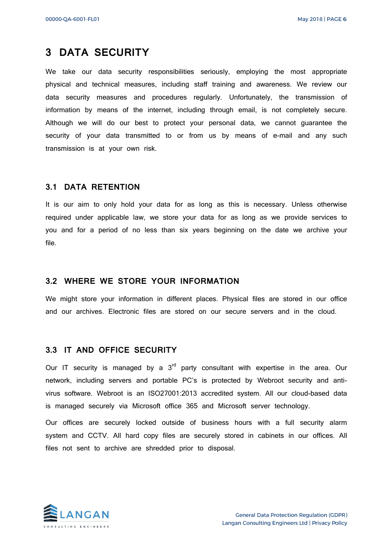## <span id="page-6-0"></span>**3 DATA SECURITY**

We take our data security responsibilities seriously, employing the most appropriate physical and technical measures, including staff training and awareness. We review our data security measures and procedures regularly. Unfortunately, the transmission of information by means of the internet, including through email, is not completely secure. Although we will do our best to protect your personal data, we cannot guarantee the security of your data transmitted to or from us by means of e-mail and any such transmission is at your own risk.

#### <span id="page-6-1"></span>**3.1 DATA RETENTION**

It is our aim to only hold your data for as long as this is necessary. Unless otherwise required under applicable law, we store your data for as long as we provide services to you and for a period of no less than six years beginning on the date we archive your file.

#### <span id="page-6-2"></span>**3.2 WHERE WE STORE YOUR INFORMATION**

We might store your information in different places. Physical files are stored in our office and our archives. Electronic files are stored on our secure servers and in the cloud.

#### <span id="page-6-3"></span>**3.3 IT AND OFFICE SECURITY**

Our IT security is managed by a  $3<sup>rd</sup>$  party consultant with expertise in the area. Our network, including servers and portable PC's is protected by Webroot security and antivirus software. Webroot is an ISO27001:2013 accredited system. All our cloud-based data is managed securely via Microsoft office 365 and Microsoft server technology.

Our offices are securely locked outside of business hours with a full security alarm system and CCTV. All hard copy files are securely stored in cabinets in our offices. All files not sent to archive are shredded prior to disposal.

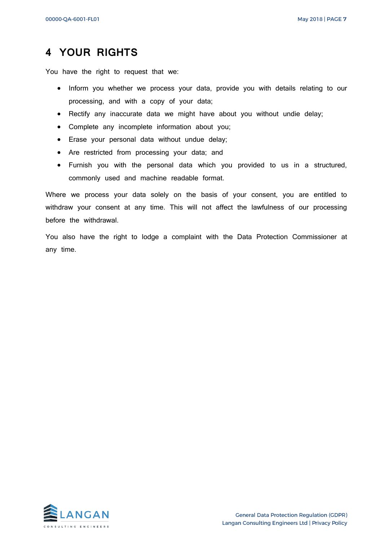# <span id="page-7-0"></span>**4 YOUR RIGHTS**

You have the right to request that we:

- Inform you whether we process your data, provide you with details relating to our processing, and with a copy of your data;
- Rectify any inaccurate data we might have about you without undie delay;
- Complete any incomplete information about you;
- Erase your personal data without undue delay;
- Are restricted from processing your data; and
- Furnish you with the personal data which you provided to us in a structured, commonly used and machine readable format.

Where we process your data solely on the basis of your consent, you are entitled to withdraw your consent at any time. This will not affect the lawfulness of our processing before the withdrawal.

You also have the right to lodge a complaint with the Data Protection Commissioner at any time.